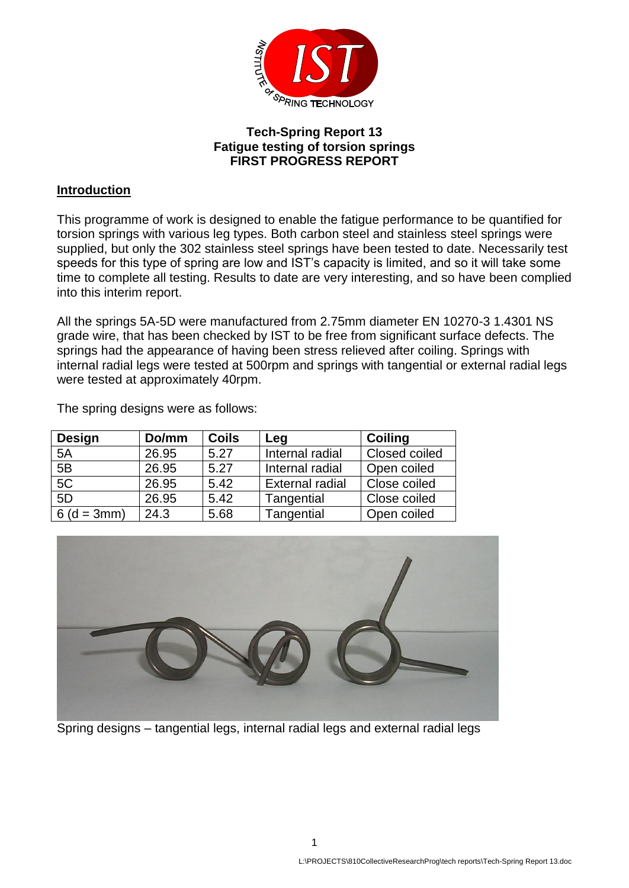

## **Tech-Spring Report 13 Fatigue testing of torsion springs FIRST PROGRESS REPORT**

## **Introduction**

This programme of work is designed to enable the fatigue performance to be quantified for torsion springs with various leg types. Both carbon steel and stainless steel springs were supplied, but only the 302 stainless steel springs have been tested to date. Necessarily test speeds for this type of spring are low and IST's capacity is limited, and so it will take some time to complete all testing. Results to date are very interesting, and so have been complied into this interim report.

All the springs 5A-5D were manufactured from 2.75mm diameter EN 10270-3 1.4301 NS grade wire, that has been checked by IST to be free from significant surface defects. The springs had the appearance of having been stress relieved after coiling. Springs with internal radial legs were tested at 500rpm and springs with tangential or external radial legs were tested at approximately 40rpm.

| <b>Design</b> | Do/mm | <b>Coils</b> | Leg                    | <b>Coiling</b> |
|---------------|-------|--------------|------------------------|----------------|
| 5A            | 26.95 | 5.27         | Internal radial        | Closed coiled  |
| 5B            | 26.95 | 5.27         | Internal radial        | Open coiled    |
| 5C            | 26.95 | 5.42         | <b>External radial</b> | Close coiled   |
| 5D            | 26.95 | 5.42         | Tangential             | Close coiled   |
| $6(d = 3mm)$  | 24.3  | 5.68         | Tangential             | Open coiled    |

The spring designs were as follows:



Spring designs – tangential legs, internal radial legs and external radial legs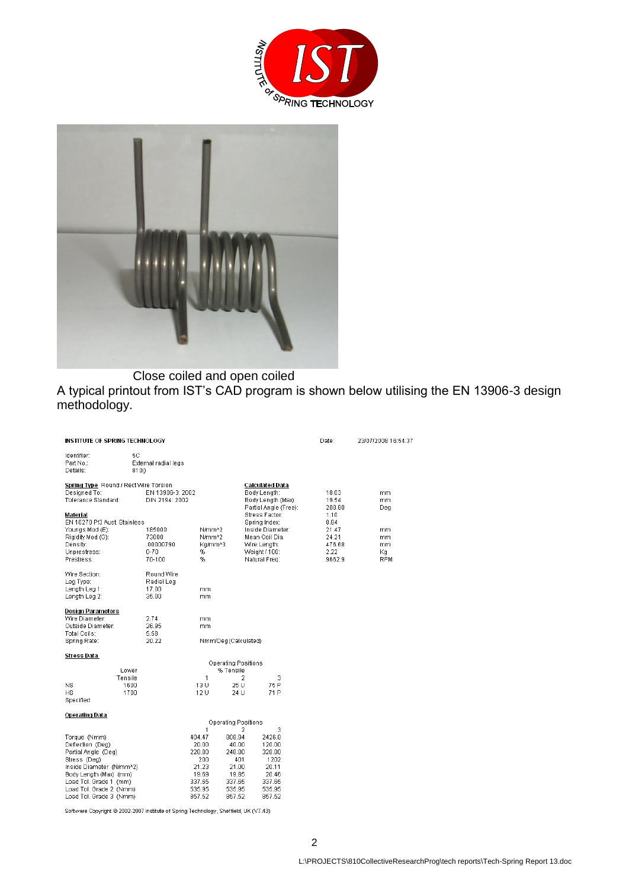



Close coiled and open coiled

A typical printout from IST's CAD program is shown below utilising the EN 13906-3 design methodology.

| INSTITUTE OF SPRING TECHNOLOGY                                                                                                                                                                                |                                                    |                                                                                  |                                                                                  |                                                                                                                         | Date:                                                      | 23/07/2008 16:54:37                  |
|---------------------------------------------------------------------------------------------------------------------------------------------------------------------------------------------------------------|----------------------------------------------------|----------------------------------------------------------------------------------|----------------------------------------------------------------------------------|-------------------------------------------------------------------------------------------------------------------------|------------------------------------------------------------|--------------------------------------|
| Identifier:<br>Part No.:<br>Details:                                                                                                                                                                          | 5С<br>External radial legs<br>810j)                |                                                                                  |                                                                                  |                                                                                                                         |                                                            |                                      |
| Spring Type Round / Rect Wire Torsion<br>Designed To:<br>Tolerance Standard:                                                                                                                                  | EN 13906-3: 2002<br>DIN 2194: 2002                 |                                                                                  |                                                                                  | Calculated Data<br>Body Length:<br>Body Length (Max):<br>Partial Angle (Free):                                          | 18.03<br>19.54<br>208.80                                   | mm.<br>mm.<br>Dea                    |
| Material<br>EN 10270 Pt3 Aust, Stainless<br>Youngs Mod (E):<br>Rigidity Mod (G):<br>Density:<br>Unprestress:<br>Prestress:                                                                                    | 185000<br>73000<br>.00000790<br>$0 - 70$<br>70-100 | N/mm <sup>A2</sup><br>N/mm <sup>42</sup><br>Ka/mm^3<br>%<br>%                    |                                                                                  | Stress Factor:<br>Spring Index:<br>Inside Diameter:<br>Mean Coil Dia.<br>Wire Length:<br>Weight / 100:<br>Natural Freq: | 1.10<br>8.84<br>21.47<br>24.21<br>476.68<br>2.22<br>9662.9 | mm.<br>mm<br>mm.<br>Кq<br><b>RPM</b> |
| Wire Section:<br>Leg Type:<br>Length Leg 1:<br>Length Leg 2:                                                                                                                                                  | Round Wire<br>Radial Leg<br>17.00<br>35.00         | mm<br>mm                                                                         |                                                                                  |                                                                                                                         |                                                            |                                      |
| Design Parameters<br>Wire Diameter:<br>Outside Diameter:<br>Total Coils:<br>Spring Rate:                                                                                                                      | 2.74<br>26.95<br>5.58<br>20.22                     | mm<br>mm                                                                         | Nmm/Deg(Calculated)                                                              |                                                                                                                         |                                                            |                                      |
| Stress Data                                                                                                                                                                                                   |                                                    |                                                                                  |                                                                                  |                                                                                                                         |                                                            |                                      |
| Lower                                                                                                                                                                                                         |                                                    |                                                                                  | <b>Operating Positions</b><br>% Tensile                                          |                                                                                                                         |                                                            |                                      |
| Tensile<br>NS<br>HS.<br>Specified                                                                                                                                                                             | 1600<br>1700                                       | 1<br>13 U<br>12 U                                                                | $\overline{2}$<br>25 U<br>24 U                                                   | 3<br>75 P<br>71 P                                                                                                       |                                                            |                                      |
| <b>Operating Data</b>                                                                                                                                                                                         |                                                    |                                                                                  |                                                                                  |                                                                                                                         |                                                            |                                      |
|                                                                                                                                                                                                               |                                                    | 1                                                                                | Operating Positions<br>2                                                         | 3                                                                                                                       |                                                            |                                      |
| Torque (Nmm)<br>Deflection (Deg)<br>Partial Angle (Deg)<br>Stress (Dea)<br>Inside Diameter (N/mm^2)<br>Body Length (Max) (mm)<br>Load Tol. Grade 1 (mm)<br>Load Tol. Grade 2 (Nmm)<br>Load Tol. Grade 3 (Nmm) |                                                    | 404.47<br>20.00<br>228.80<br>200<br>21.23<br>19.69<br>337.65<br>535.95<br>857.52 | 808.94<br>40.00<br>248.80<br>401<br>21.00<br>19.85<br>337.65<br>535.95<br>857.52 | 2426.8<br>120.00<br>328.80<br>1202<br>20.11<br>20.46<br>337.65<br>535.95<br>857.52                                      |                                                            |                                      |
|                                                                                                                                                                                                               |                                                    |                                                                                  | _________________                                                                |                                                                                                                         |                                                            |                                      |

Software Copyright @ 2002-2007 Institute of Spring Technology, Sheffield, UK (V7.43)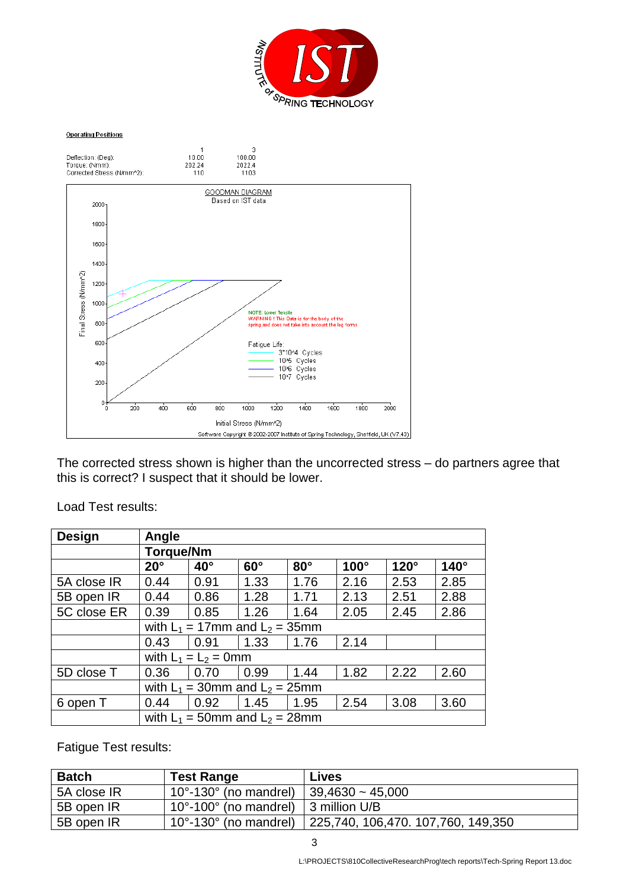

## **Operating Positions**



The corrected stress shown is higher than the uncorrected stress – do partners agree that this is correct? I suspect that it should be lower.

| <b>Design</b> | Angle                                |                                      |            |            |             |             |             |
|---------------|--------------------------------------|--------------------------------------|------------|------------|-------------|-------------|-------------|
|               | <b>Torque/Nm</b>                     |                                      |            |            |             |             |             |
|               | $20^\circ$                           | $40^{\circ}$                         | $60^\circ$ | $80^\circ$ | $100^\circ$ | $120^\circ$ | $140^\circ$ |
| 5A close IR   | 0.44                                 | 0.91                                 | 1.33       | 1.76       | 2.16        | 2.53        | 2.85        |
| 5B open IR    | 0.44                                 | 0.86                                 | 1.28       | 1.71       | 2.13        | 2.51        | 2.88        |
| 5C close ER   | 0.39                                 | 0.85                                 | 1.26       | 1.64       | 2.05        | 2.45        | 2.86        |
|               |                                      | with $L_1 = 17$ mm and $L_2 = 35$ mm |            |            |             |             |             |
|               | 0.43                                 | 0.91                                 | 1.33       | 1.76       | 2.14        |             |             |
|               | with $L_1 = L_2 = 0$ mm              |                                      |            |            |             |             |             |
| 5D close T    | 0.36                                 | 0.70                                 | 0.99       | 1.44       | 1.82        | 2.22        | 2.60        |
|               | with $L_1 = 30$ mm and $L_2 = 25$ mm |                                      |            |            |             |             |             |
| 6 open T      | 0.44                                 | 0.92                                 | 1.45       | 1.95       | 2.54        | 3.08        | 3.60        |
|               | with $L_1 = 50$ mm and $L_2 = 28$ mm |                                      |            |            |             |             |             |

Load Test results:

Fatigue Test results:

| <b>Batch</b> | <b>Test Range</b>                                         | <b>Lives</b>                       |
|--------------|-----------------------------------------------------------|------------------------------------|
| 5A close IR  | 10°-130° (no mandrel)   39,4630 ~ 45,000                  |                                    |
| 5B open IR   | $10^{\circ}$ -100 $^{\circ}$ (no mandrel)   3 million U/B |                                    |
| 5B open IR   | $10^{\circ}$ -130 $^{\circ}$ (no mandrel)                 | 225,740, 106,470. 107,760, 149,350 |

3